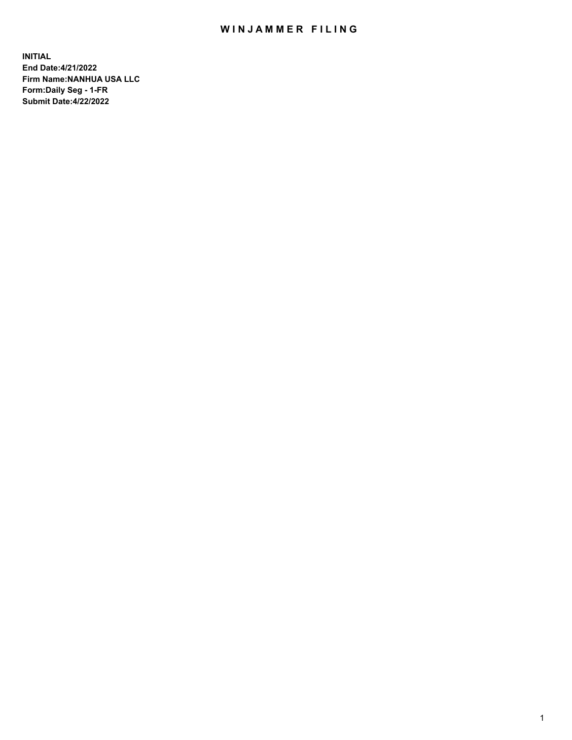## WIN JAMMER FILING

**INITIAL End Date:4/21/2022 Firm Name:NANHUA USA LLC Form:Daily Seg - 1-FR Submit Date:4/22/2022**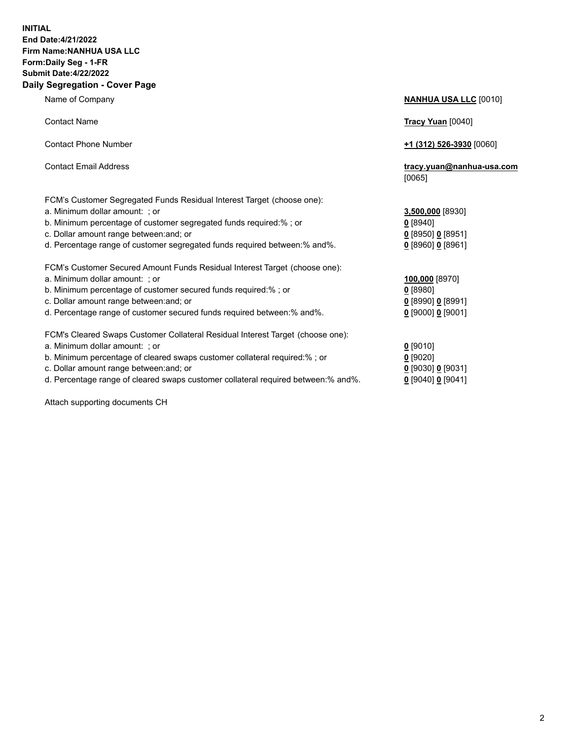## **INITIAL End Date:4/21/2022 Firm Name:NANHUA USA LLC Form:Daily Seg - 1-FR Submit Date:4/22/2022 Daily Segregation - Cover Page**

Name of Company **NANHUA USA LLC** [0010] Contact Name **Tracy Yuan** [0040] Contact Phone Number **+1 (312) 526-3930** [0060] Contact Email Address **tracy.yuan@nanhua-usa.com** [0065] FCM's Customer Segregated Funds Residual Interest Target (choose one): a. Minimum dollar amount: ; or **3,500,000** [8930] b. Minimum percentage of customer segregated funds required:% ; or **0** [8940] c. Dollar amount range between:and; or **0** [8950] **0** [8951] d. Percentage range of customer segregated funds required between:% and%. **0** [8960] **0** [8961] FCM's Customer Secured Amount Funds Residual Interest Target (choose one): a. Minimum dollar amount: ; or **100,000** [8970] b. Minimum percentage of customer secured funds required:% ; or **0** [8980] c. Dollar amount range between:and; or **0** [8990] **0** [8991] d. Percentage range of customer secured funds required between:% and%. **0** [9000] **0** [9001] FCM's Cleared Swaps Customer Collateral Residual Interest Target (choose one): a. Minimum dollar amount: ; or **0** [9010] b. Minimum percentage of cleared swaps customer collateral required:% ; or **0** [9020] c. Dollar amount range between:and; or **0** [9030] **0** [9031] d. Percentage range of cleared swaps customer collateral required between:% and%. **0** [9040] **0** [9041]

Attach supporting documents CH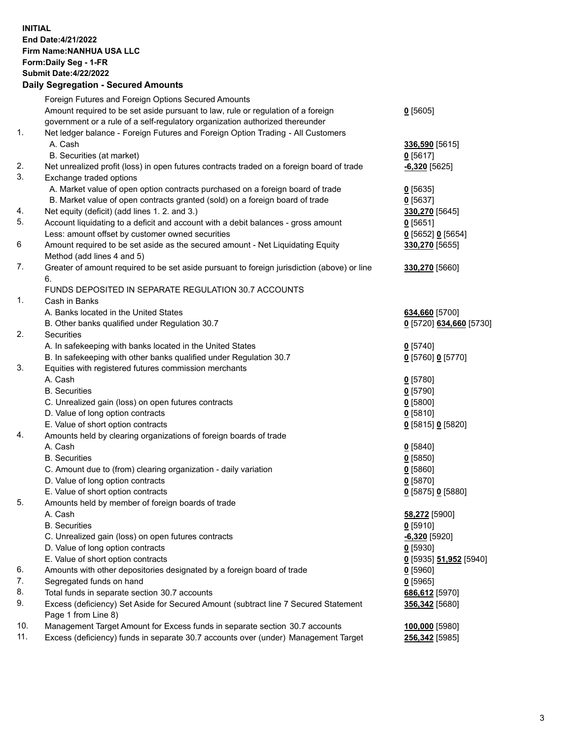## **INITIAL End Date:4/21/2022 Firm Name:NANHUA USA LLC Form:Daily Seg - 1-FR Submit Date:4/22/2022 Daily Segregation - Secured Amounts**

|     | Foreign Futures and Foreign Options Secured Amounts                                         |                         |
|-----|---------------------------------------------------------------------------------------------|-------------------------|
|     | Amount required to be set aside pursuant to law, rule or regulation of a foreign            | $0$ [5605]              |
|     | government or a rule of a self-regulatory organization authorized thereunder                |                         |
| 1.  | Net ledger balance - Foreign Futures and Foreign Option Trading - All Customers             |                         |
|     | A. Cash                                                                                     | 336,590 [5615]          |
|     | B. Securities (at market)                                                                   | $0$ [5617]              |
| 2.  | Net unrealized profit (loss) in open futures contracts traded on a foreign board of trade   | $-6,320$ [5625]         |
| 3.  | Exchange traded options                                                                     |                         |
|     | A. Market value of open option contracts purchased on a foreign board of trade              | $0$ [5635]              |
|     | B. Market value of open contracts granted (sold) on a foreign board of trade                | $0$ [5637]              |
| 4.  | Net equity (deficit) (add lines 1. 2. and 3.)                                               | 330,270 [5645]          |
| 5.  | Account liquidating to a deficit and account with a debit balances - gross amount           | $0$ [5651]              |
|     | Less: amount offset by customer owned securities                                            | $0$ [5652] $0$ [5654]   |
| 6   | Amount required to be set aside as the secured amount - Net Liquidating Equity              | 330,270 [5655]          |
|     | Method (add lines 4 and 5)                                                                  |                         |
| 7.  | Greater of amount required to be set aside pursuant to foreign jurisdiction (above) or line | 330,270 [5660]          |
|     | 6.                                                                                          |                         |
|     | FUNDS DEPOSITED IN SEPARATE REGULATION 30.7 ACCOUNTS                                        |                         |
| 1.  | Cash in Banks                                                                               |                         |
|     | A. Banks located in the United States                                                       | 634,660 [5700]          |
|     | B. Other banks qualified under Regulation 30.7                                              | 0 [5720] 634,660 [5730] |
| 2.  | Securities                                                                                  |                         |
|     | A. In safekeeping with banks located in the United States                                   | $0$ [5740]              |
|     | B. In safekeeping with other banks qualified under Regulation 30.7                          | 0 [5760] 0 [5770]       |
| 3.  | Equities with registered futures commission merchants                                       |                         |
|     | A. Cash                                                                                     | $0$ [5780]              |
|     | <b>B.</b> Securities                                                                        | $0$ [5790]              |
|     | C. Unrealized gain (loss) on open futures contracts                                         | $0$ [5800]              |
|     | D. Value of long option contracts                                                           | $0$ [5810]              |
|     | E. Value of short option contracts                                                          | 0 [5815] 0 [5820]       |
| 4.  | Amounts held by clearing organizations of foreign boards of trade                           |                         |
|     | A. Cash                                                                                     | $0$ [5840]              |
|     | <b>B.</b> Securities                                                                        | $0$ [5850]              |
|     | C. Amount due to (from) clearing organization - daily variation                             | $0$ [5860]              |
|     | D. Value of long option contracts                                                           | $0$ [5870]              |
|     | E. Value of short option contracts                                                          | 0 [5875] 0 [5880]       |
| 5.  | Amounts held by member of foreign boards of trade                                           |                         |
|     | A. Cash                                                                                     | 58,272 [5900]           |
|     | <b>B.</b> Securities                                                                        | $0$ [5910]              |
|     | C. Unrealized gain (loss) on open futures contracts                                         | $-6,320$ [5920]         |
|     | D. Value of long option contracts                                                           | $0$ [5930]              |
|     | E. Value of short option contracts                                                          | 0 [5935] 51,952 [5940]  |
| 6.  | Amounts with other depositories designated by a foreign board of trade                      | $0$ [5960]              |
| 7.  | Segregated funds on hand                                                                    | $0$ [5965]              |
| 8.  | Total funds in separate section 30.7 accounts                                               | 686,612 [5970]          |
| 9.  | Excess (deficiency) Set Aside for Secured Amount (subtract line 7 Secured Statement         | 356,342 [5680]          |
|     | Page 1 from Line 8)                                                                         |                         |
| 10. | Management Target Amount for Excess funds in separate section 30.7 accounts                 | 100,000 [5980]          |
| 11. | Excess (deficiency) funds in separate 30.7 accounts over (under) Management Target          | 256,342 [5985]          |
|     |                                                                                             |                         |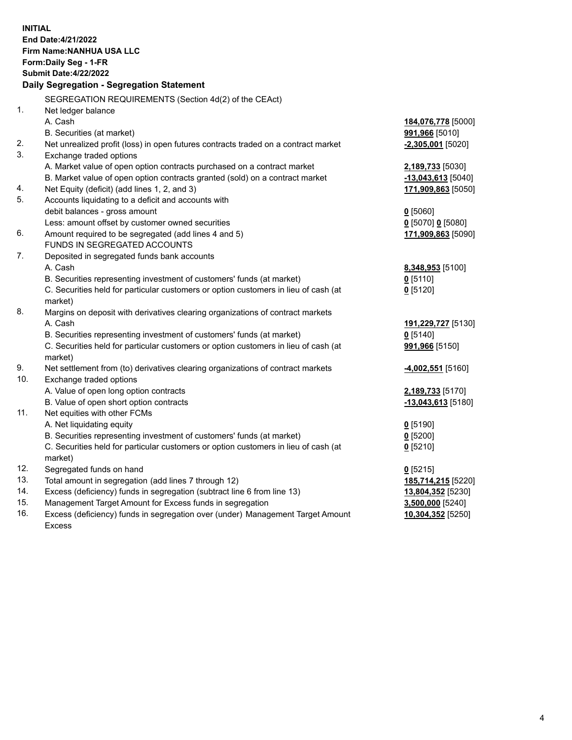| <b>INITIAL</b> | End Date: 4/21/2022<br><b>Firm Name: NANHUA USA LLC</b><br>Form: Daily Seg - 1-FR<br><b>Submit Date: 4/22/2022</b> |                       |
|----------------|--------------------------------------------------------------------------------------------------------------------|-----------------------|
|                | Daily Segregation - Segregation Statement                                                                          |                       |
|                | SEGREGATION REQUIREMENTS (Section 4d(2) of the CEAct)                                                              |                       |
| 1.             | Net ledger balance                                                                                                 |                       |
|                | A. Cash                                                                                                            | 184,076,778 [5000]    |
|                | B. Securities (at market)                                                                                          | <b>991,966</b> [5010] |
| 2.<br>3.       | Net unrealized profit (loss) in open futures contracts traded on a contract market                                 | $-2,305,001$ [5020]   |
|                | Exchange traded options                                                                                            |                       |
|                | A. Market value of open option contracts purchased on a contract market                                            | 2,189,733 [5030]      |
| 4.             | B. Market value of open option contracts granted (sold) on a contract market                                       | $-13,043,613$ [5040]  |
| 5.             | Net Equity (deficit) (add lines 1, 2, and 3)<br>Accounts liquidating to a deficit and accounts with                | 171,909,863 [5050]    |
|                | debit balances - gross amount                                                                                      | $0$ [5060]            |
|                | Less: amount offset by customer owned securities                                                                   | $0$ [5070] 0 [5080]   |
| 6.             | Amount required to be segregated (add lines 4 and 5)                                                               | 171,909,863 [5090]    |
|                | FUNDS IN SEGREGATED ACCOUNTS                                                                                       |                       |
| 7.             | Deposited in segregated funds bank accounts                                                                        |                       |
|                | A. Cash                                                                                                            | 8,348,953 [5100]      |
|                | B. Securities representing investment of customers' funds (at market)                                              | $0$ [5110]            |
|                | C. Securities held for particular customers or option customers in lieu of cash (at                                | $0$ [5120]            |
|                | market)                                                                                                            |                       |
| 8.             | Margins on deposit with derivatives clearing organizations of contract markets                                     |                       |
|                | A. Cash                                                                                                            | 191,229,727 [5130]    |
|                | B. Securities representing investment of customers' funds (at market)                                              | $0$ [5140]            |
|                | C. Securities held for particular customers or option customers in lieu of cash (at                                | 991,966 [5150]        |
|                | market)                                                                                                            |                       |
| 9.             | Net settlement from (to) derivatives clearing organizations of contract markets                                    | -4,002,551 [5160]     |
| 10.            | Exchange traded options                                                                                            |                       |
|                | A. Value of open long option contracts                                                                             | 2,189,733 [5170]      |
|                | B. Value of open short option contracts                                                                            | $-13,043,613$ [5180]  |
| 11.            | Net equities with other FCMs                                                                                       |                       |
|                | A. Net liquidating equity                                                                                          | $0$ [5190]            |
|                | B. Securities representing investment of customers' funds (at market)                                              | $0$ [5200]            |
|                | C. Securities held for particular customers or option customers in lieu of cash (at                                | $0$ [5210]            |
|                | market)                                                                                                            |                       |
| 12.            | Segregated funds on hand                                                                                           | $0$ [5215]            |
| 13.            | Total amount in segregation (add lines 7 through 12)                                                               | 185,714,215 [5220]    |
| 14.            | Excess (deficiency) funds in segregation (subtract line 6 from line 13)                                            | 13,804,352 [5230]     |
| 15.            | Management Target Amount for Excess funds in segregation                                                           | 3,500,000 [5240]      |
| 16.            | Excess (deficiency) funds in segregation over (under) Management Target Amount                                     | 10,304,352 [5250]     |
|                | <b>Excess</b>                                                                                                      |                       |